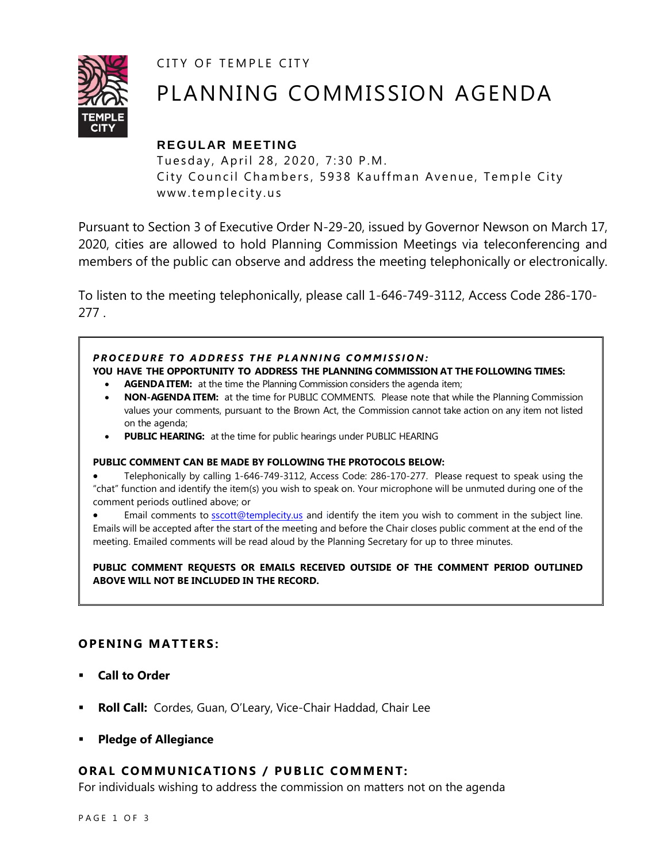CITY OF TEMPLE CITY



# PLANNING COMMISSION AGENDA

# **REGULAR MEETING**

Tuesday, April 28, 2020, 7:30 P.M. City Council Chambers, 5938 Kauffman Avenue, Temple City www.templecity.us

Pursuant to Section 3 of Executive Order N-29-20, issued by Governor Newson on March 17, 2020, cities are allowed to hold Planning Commission Meetings via teleconferencing and members of the public can observe and address the meeting telephonically or electronically.

To listen to the meeting telephonically, please call 1-646-749-3112, Access Code 286-170- 277 .

# **PROCEDURE TO ADDRESS THE PLANNING COMMISSION:**

**YOU HAVE THE OPPORTUNITY TO ADDRESS THE PLANNING COMMISSION AT THE FOLLOWING TIMES:**

- **AGENDA ITEM:** at the time the Planning Commission considers the agenda item;
- **NON-AGENDA ITEM:** at the time for PUBLIC COMMENTS. Please note that while the Planning Commission values your comments, pursuant to the Brown Act, the Commission cannot take action on any item not listed on the agenda;
- **PUBLIC HEARING:** at the time for public hearings under PUBLIC HEARING

#### **PUBLIC COMMENT CAN BE MADE BY FOLLOWING THE PROTOCOLS BELOW:**

 Telephonically by calling 1-646-749-3112, Access Code: 286-170-277. Please request to speak using the "chat" function and identify the item(s) you wish to speak on. Your microphone will be unmuted during one of the comment periods outlined above; or

Email comments to **[sscott@templecity.us](mailto:sscott@templecity.us)** and identify the item you wish to comment in the subject line. Emails will be accepted after the start of the meeting and before the Chair closes public comment at the end of the meeting. Emailed comments will be read aloud by the Planning Secretary for up to three minutes.

**PUBLIC COMMENT REQUESTS OR EMAILS RECEIVED OUTSIDE OF THE COMMENT PERIOD OUTLINED ABOVE WILL NOT BE INCLUDED IN THE RECORD.**

# **OPEN ING MAT TERS :**

- **Call to Order**
- **Roll Call:** Cordes, Guan, O'Leary, Vice-Chair Haddad, Chair Lee
- **Pledge of Allegiance**

#### **ORAL COMMUNICATIONS / PUBLIC COMMENT:**

For individuals wishing to address the commission on matters not on the agenda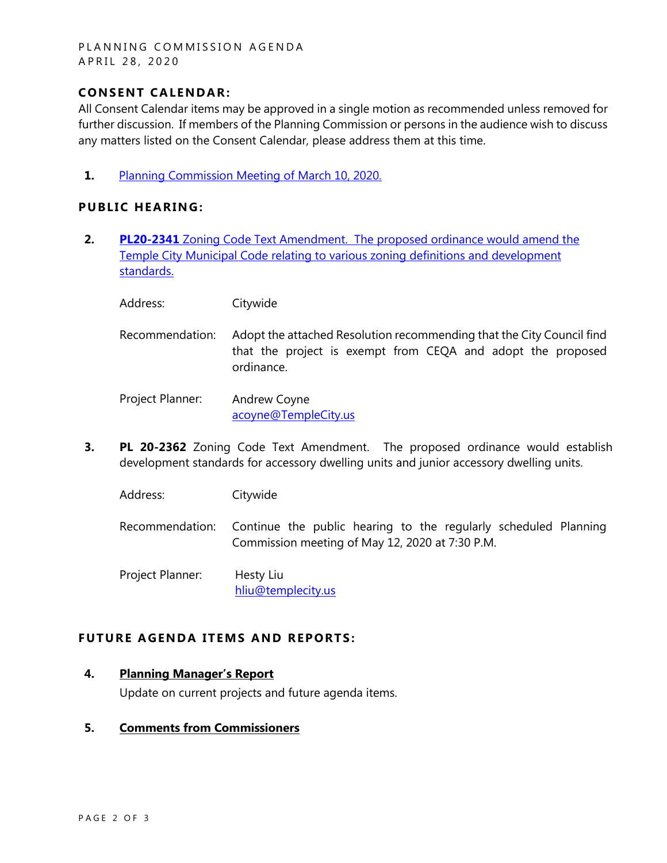#### PLANNING COMMISSION AGENDA A P R I L 28, 2020

### **CONSENT CA LENDAR:**

All Consent Calendar items may be approved in a single motion as recommended unless removed for further discussion. If members of the Planning Commission or persons in the audience wish to discuss any matters listed on the Consent Calendar, please address them at this time.

**1.** [Planning Commission Meeting of](https://www.ci.temple-city.ca.us/DocumentCenter/View/14297/PCM-031020-Minutes) March 10, 2020.

### **PUBLIC HEARING:**

- **2. PL20-2341** [Zoning Code Text Amendment. The proposed ordinance would amend the](https://www.ci.temple-city.ca.us/DocumentCenter/View/14298/PL-20-2341-City-Wide)  [Temple City Municipal Code relating to various zoning definitions and development](https://www.ci.temple-city.ca.us/DocumentCenter/View/14298/PL-20-2341-City-Wide)  [standards.](https://www.ci.temple-city.ca.us/DocumentCenter/View/14298/PL-20-2341-City-Wide)
	- Address: Citywide
	- Recommendation: Adopt the attached Resolution recommending that the City Council find that the project is exempt from CEQA and adopt the proposed ordinance.

Project Planner: Andrew Coyne acoyne@TempleCity.us

**3. PL 20-2362** Zoning Code Text Amendment. The proposed ordinance would establish development standards for accessory dwelling units and junior accessory dwelling units.

Address: Citywide

Recommendation: Continue the public hearing to the regularly scheduled Planning Commission meeting of May 12, 2020 at 7:30 P.M.

Project Planner: Hesty Liu [hliu@templecity.us](mailto:hliu@templecity.us)

#### **FUTURE AGENDA ITEMS AND REPORTS:**

#### **4. Planning Manager's Report**

Update on current projects and future agenda items.

#### **5. Comments from Commissioners**